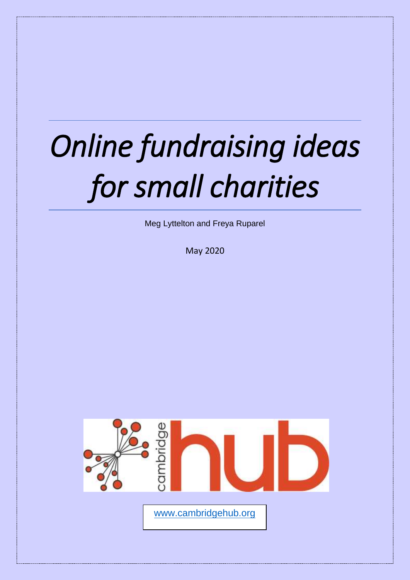# *Online fundraising ideas for small charities*

Meg Lyttelton and Freya Ruparel

May 2020

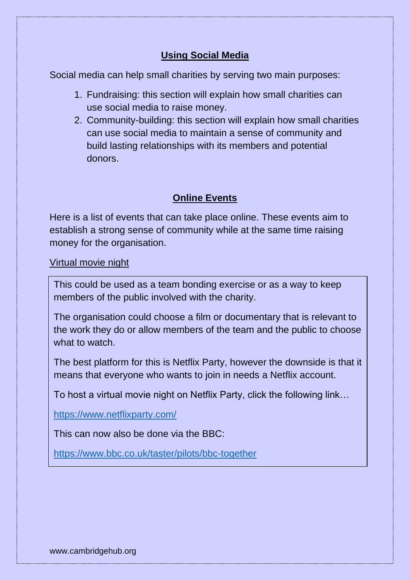# **Using Social Media**

Social media can help small charities by serving two main purposes:

- 1. Fundraising: this section will explain how small charities can use social media to raise money.
- 2. Community-building: this section will explain how small charities can use social media to maintain a sense of community and build lasting relationships with its members and potential donors.

## **Online Events**

Here is a list of events that can take place online. These events aim to establish a strong sense of community while at the same time raising money for the organisation.

Virtual movie night

This could be used as a team bonding exercise or as a way to keep members of the public involved with the charity.

The organisation could choose a film or documentary that is relevant to the work they do or allow members of the team and the public to choose what to watch.

The best platform for this is Netflix Party, however the downside is that it means that everyone who wants to join in needs a Netflix account.

To host a virtual movie night on Netflix Party, click the following link…

<https://www.netflixparty.com/>

This can now also be done via the BBC:

<https://www.bbc.co.uk/taster/pilots/bbc-together>

www.cambridgehub.org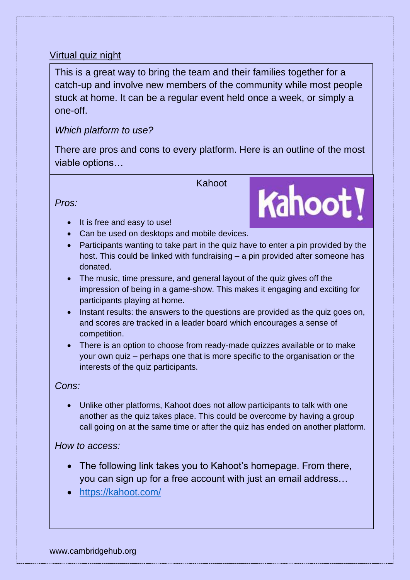## Virtual quiz night

This is a great way to bring the team and their families together for a catch-up and involve new members of the community while most people stuck at home. It can be a regular event held once a week, or simply a one-off.

## *Which platform to use?*

There are pros and cons to every platform. Here is an outline of the most viable options…

Kahoot

Kahoot!

*Pros:* 

- It is free and easy to use!
- Can be used on desktops and mobile devices.
- Participants wanting to take part in the quiz have to enter a pin provided by the host. This could be linked with fundraising – a pin provided after someone has donated.
- The music, time pressure, and general layout of the quiz gives off the impression of being in a game-show. This makes it engaging and exciting for participants playing at home.
- Instant results: the answers to the questions are provided as the quiz goes on, and scores are tracked in a leader board which encourages a sense of competition.
- There is an option to choose from ready-made quizzes available or to make your own quiz – perhaps one that is more specific to the organisation or the interests of the quiz participants.

*Cons:* 

• Unlike other platforms, Kahoot does not allow participants to talk with one another as the quiz takes place. This could be overcome by having a group call going on at the same time or after the quiz has ended on another platform.

#### *How to access:*

- The following link takes you to Kahoot's homepage. From there, you can sign up for a free account with just an email address…
- <https://kahoot.com/>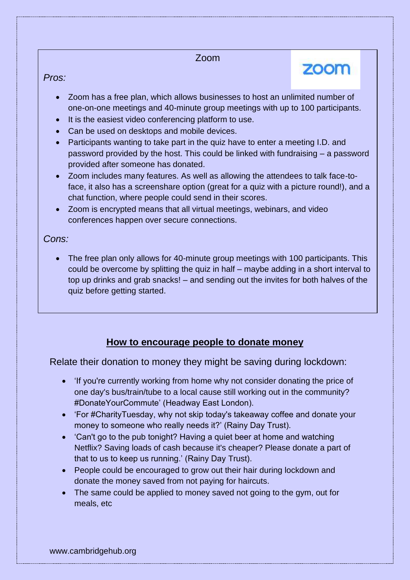#### Zoom

zoom

## *Pros:*

- Zoom has a free plan, which allows businesses to host an unlimited number of one-on-one meetings and 40-minute group meetings with up to 100 participants.
- It is the easiest video conferencing platform to use.
- Can be used on desktops and mobile devices.
- Participants wanting to take part in the quiz have to enter a meeting I.D. and password provided by the host. This could be linked with fundraising – a password provided after someone has donated.
- Zoom includes many features. As well as allowing the attendees to talk face-toface, it also has a screenshare option (great for a quiz with a picture round!), and a chat function, where people could send in their scores.
- Zoom is encrypted means that all virtual meetings, webinars, and video conferences happen over secure connections.

## *Cons:*

• The free plan only allows for 40-minute group meetings with 100 participants. This could be overcome by splitting the quiz in half – maybe adding in a short interval to top up drinks and grab snacks! – and sending out the invites for both halves of the quiz before getting started.

# **How to encourage people to donate money**

Relate their donation to money they might be saving during lockdown:

- 'If you're currently working from home why not consider donating the price of one day's bus/train/tube to a local cause still working out in the community? #DonateYourCommute' (Headway East London).
- 'For #CharityTuesday, why not skip today's takeaway coffee and donate your money to someone who really needs it?' (Rainy Day Trust).
- 'Can't go to the pub tonight? Having a quiet beer at home and watching Netflix? Saving loads of cash because it's cheaper? Please donate a part of that to us to keep us running.' (Rainy Day Trust).
- People could be encouraged to grow out their hair during lockdown and donate the money saved from not paying for haircuts.
- The same could be applied to money saved not going to the gym, out for meals, etc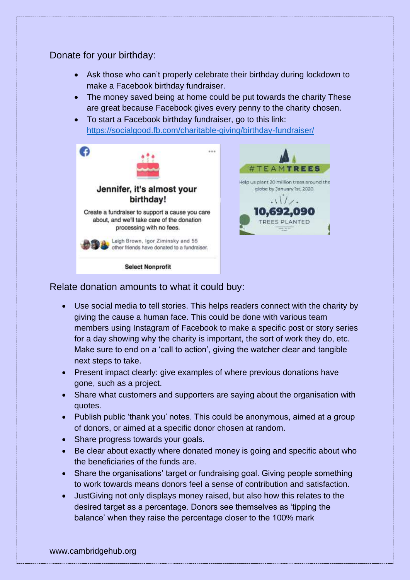## Donate for your birthday:

- Ask those who can't properly celebrate their birthday during lockdown to make a Facebook birthday fundraiser.
- The money saved being at home could be put towards the charity These are great because Facebook gives every penny to the charity chosen.
- To start a Facebook birthday fundraiser, go to this link: <https://socialgood.fb.com/charitable-giving/birthday-fundraiser/>



#### Relate donation amounts to what it could buy:

- Use social media to tell stories. This helps readers connect with the charity by giving the cause a human face. This could be done with various team members using Instagram of Facebook to make a specific post or story series for a day showing why the charity is important, the sort of work they do, etc. Make sure to end on a 'call to action', giving the watcher clear and tangible next steps to take.
- Present impact clearly: give examples of where previous donations have gone, such as a project.
- Share what customers and supporters are saying about the organisation with quotes.
- Publish public 'thank you' notes. This could be anonymous, aimed at a group of donors, or aimed at a specific donor chosen at random.
- Share progress towards your goals.
- Be clear about exactly where donated money is going and specific about who the beneficiaries of the funds are.
- Share the organisations' target or fundraising goal. Giving people something to work towards means donors feel a sense of contribution and satisfaction.
- JustGiving not only displays money raised, but also how this relates to the desired target as a percentage. Donors see themselves as 'tipping the balance' when they raise the percentage closer to the 100% mark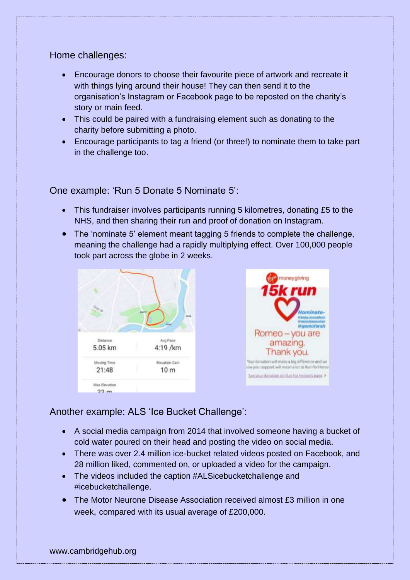#### Home challenges:

- Encourage donors to choose their favourite piece of artwork and recreate it with things lying around their house! They can then send it to the organisation's Instagram or Facebook page to be reposted on the charity's story or main feed.
- This could be paired with a fundraising element such as donating to the charity before submitting a photo.
- Encourage participants to tag a friend (or three!) to nominate them to take part in the challenge too.

#### One example: 'Run 5 Donate 5 Nominate 5':

- This fundraiser involves participants running 5 kilometres, donating £5 to the NHS, and then sharing their run and proof of donation on Instagram.
- The 'nominate 5' element meant tagging 5 friends to complete the challenge, meaning the challenge had a rapidly multiplying effect. Over 100,000 people took part across the globe in 2 weeks.





#### Another example: ALS 'Ice Bucket Challenge':

- A social media campaign from 2014 that involved someone having a bucket of cold water poured on their head and posting the video on social media.
- There was over 2.4 million ice-bucket related videos posted on Facebook, and 28 million liked, commented on, or uploaded a video for the campaign.
- The videos included the caption #ALSicebucketchallenge and #icebucketchallenge.
- The Motor Neurone Disease Association received almost £3 million in one week, compared with its usual average of £200,000.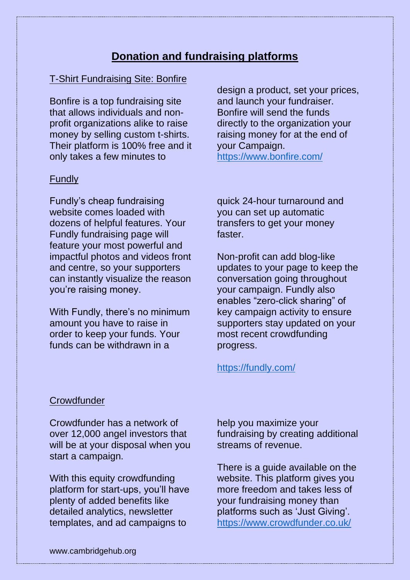# **Donation and fundraising platforms**

#### T-Shirt Fundraising Site: Bonfire

Bonfire is a top fundraising site that allows individuals and nonprofit organizations alike to raise money by selling custom t-shirts. Their platform is 100% free and it only takes a few minutes to

#### Fundly

Fundly's cheap fundraising website comes loaded with dozens of helpful features. Your Fundly fundraising page will feature your most powerful and impactful photos and videos front and centre, so your supporters can instantly visualize the reason you're raising money.

With Fundly, there's no minimum amount you have to raise in order to keep your funds. Your funds can be withdrawn in a

design a product, set your prices, and launch your fundraiser. Bonfire will send the funds directly to the organization your raising money for at the end of your Campaign. <https://www.bonfire.com/>

quick 24-hour turnaround and you can set up automatic transfers to get your money faster.

Non-profit can add blog-like updates to your page to keep the conversation going throughout your campaign. Fundly also enables "zero-click sharing" of key campaign activity to ensure supporters stay updated on your most recent crowdfunding progress.

#### <https://fundly.com/>

#### **Crowdfunder**

Crowdfunder has a network of over 12,000 angel investors that will be at your disposal when you start a campaign.

With this equity crowdfunding platform for start-ups, you'll have plenty of added benefits like detailed analytics, newsletter templates, and ad campaigns to

help you maximize your fundraising by creating additional streams of revenue.

There is a guide available on the website. This platform gives you more freedom and takes less of your fundraising money than platforms such as 'Just Giving'. <https://www.crowdfunder.co.uk/>